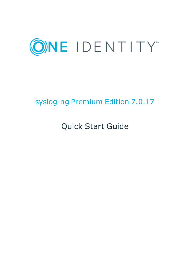

# syslog-ng Premium Edition 7.0.17

# Quick Start Guide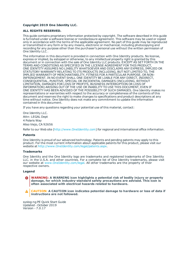#### **Copyright 2019 One Identity LLC.**

#### **ALL RIGHTS RESERVED.**

This guide contains proprietary information protected by copyright. The software described in this guide is furnished under a software license or nondisclosure agreement. This software may be used or copied only in accordance with the terms of the applicable agreement. No part of this guide may be reproduced or transmitted in any form or by any means, electronic or mechanical, including photocopying and recording for any purpose other than the purchaser's personal use without the written permission of One Identity LLC .

The information in this document is provided in connection with One Identity products. No license, express or implied, by estoppel or otherwise, to any intellectual property right is granted by this document or in connection with the sale of One Identity LLC products. EXCEPT AS SET FORTH IN THE TERMS AND CONDITIONS AS SPECIFIED IN THE LICENSE AGREEMENT FOR THIS PRODUCT, ONE IDENTITY ASSUMES NO LIABILITY WHATSOEVER AND DISCLAIMS ANY EXPRESS, IMPLIED OR STATUTORY WARRANTY RELATING TO ITS PRODUCTS INCLUDING, BUT NOT LIMITED TO, THE IMPLIED WARRANTY OF MERCHANTABILITY, FITNESS FOR A PARTICULAR PURPOSE, OR NON-INFRINGEMENT. IN NO EVENT SHALL ONE IDENTITY BE LIABLE FOR ANY DIRECT, INDIRECT, CONSEQUENTIAL, PUNITIVE, SPECIAL OR INCIDENTAL DAMAGES (INCLUDING, WITHOUT LIMITATION, DAMAGES FOR LOSS OF PROFITS, BUSINESS INTERRUPTION OR LOSS OF INFORMATION) ARISING OUT OF THE USE OR INABILITY TO USE THIS DOCUMENT, EVEN IF ONE IDENTITY HAS BEEN ADVISED OF THE POSSIBILITY OF SUCH DAMAGES. One Identity makes no representations or warranties with respect to the accuracy or completeness of the contents of this document and reserves the right to make changes to specifications and product descriptions at any time without notice. One Identity does not make any commitment to update the information contained in this document.

If you have any questions regarding your potential use of this material, contact:

One Identity LLC. Attn: LEGAL Dept 4 Polaris Way Aliso Viejo, CA 92656

Refer to our Web site ([http://www.OneIdentity.com](http://www.oneidentity.com/)) for regional and international office information.

#### **Patents**

One Identity is proud of our advanced technology. Patents and pending patents may apply to this product. For the most current information about applicable patents for this product, please visit our website at [http://www.OneIdentity.com/legal/patents.aspx](http://www.oneidentity.com/legal/patents.aspx).

#### **Trademarks**

One Identity and the One Identity logo are trademarks and registered trademarks of One Identity LLC. in the U.S.A. and other countries. For a complete list of One Identity trademarks, please visit our website at [www.OneIdentity.com/legal](http://www.oneidentity.com/legal). All other trademarks are the property of their respective owners.

#### **Legend**

**WARNING: A WARNING icon highlights a potential risk of bodily injury or property damage, for which industry-standard safety precautions are advised. This icon is often associated with electrical hazards related to hardware.**

**CAUTION: A CAUTION icon indicates potential damage to hardware or loss of data if** A **instructions are not followed.**

syslog-ng PE Quick Start Guide Updated - October 2019 Version - 7.0.17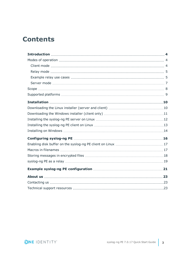### **Contents**

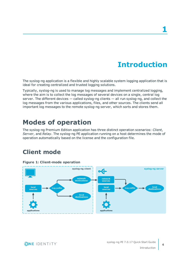## **Introduction**

<span id="page-3-0"></span>The syslog-ng application is a flexible and highly scalable system logging application that is ideal for creating centralized and trusted logging solutions.

Typically, syslog-ng is used to manage log messages and implement centralized logging, where the aim is to collect the log messages of several devices on a single, central log server. The different devices — called syslog-ng clients — all run syslog-ng, and collect the log messages from the various applications, files, and other sources. The clients send all important log messages to the remote syslog-ng server, which sorts and stores them.

### <span id="page-3-1"></span>**Modes of operation**

The syslog-ng Premium Edition application has three distinct operation scenarios: *Client*, *Server*, and *Relay*. The syslog-ng PE application running on a host determines the mode of operation automatically based on the license and the configuration file.

### <span id="page-3-2"></span>**Client mode**





**4**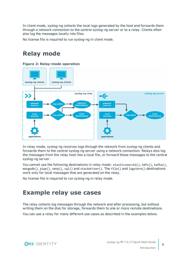In client mode, syslog-ng collects the local logs generated by the host and forwards them through a network connection to the central syslog-ng server or to a relay. Clients often also log the messages locally into files.

<span id="page-4-0"></span>No license file is required to run syslog-ng in client mode.

### **Relay mode**



In relay mode, syslog-ng receives logs through the network from syslog-ng clients and forwards them to the central syslog-ng server using a network connection. Relays also log the messages from the relay host into a local file, or forward these messages to the central syslog-ng server.

You cannot use the following destinations in relay mode: elasticsearch2(), hdfs(), kafka(), mongodb(), pipe(), smtp(), sql() and stackdriver(). The file() and logstore() destinations work only for local messages that are generated on the relay.

<span id="page-4-1"></span>No license file is required to run syslog-ng in relay mode.

### **Example relay use cases**

The relay collects log messages through the network and after processing, but without writing them on the disk for storage, forwards them to one or more remote destinations.

You can use a relay for many different use cases as described in the examples below.

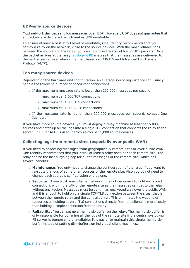#### **UDP-only source devices**

Most network devices send log messages over UDP. However, UDP does not guarantee that all packets are delivered, which makes UDP unreliable.

To ensure at least a best effort level of reliability, One Identity recommends that you deploy a relay on the network, close to the source devices. With the most reliable hops between the source and the relay, you can minimize the risk of losing UDP packets. Once the packet arrives at the relay, [syslog-ng](https://syslog-ng.com/blog/upgrading-from-syslog-ng-open-source-to-premium-edition/) PE ensures that the messages are delivered to the central server in a reliable manner, based on TCP/TLS and Advanced Log Transfer Protocol (ALTP).

#### **Too many source devices**

Depending on the hardware and configuration, an average syslog-ng instance can usually handle the following number of concurrent connections:

- If the maximum message rate is lower than 200,000 messages per second:
	- maximum ca. 5,000 TCP connections
	- maximum ca. 1,000 TLS connections
	- maximum ca. 1,000 ALTP connections
- If the message rate is higher than 200,000 messages per second, contact One Identity.

If you have more source devices, you must deploy a relay machine at least per 5,000 sources and batch up all the logs into a single TCP connection that connects the relay to the server. If TLS or ALTP is used, deploy relays per 1,000 source devices.

#### **Collecting logs from remote sites (especially over public WAN)**

If you need to collect log messages from geographically remote sites or over public WAN, One Identity recommends that you install at least a relay node per each remote site. The relay can be the last outgoing hop for all the messages of the remote site, which has several benefits:

- **Maintenance**: You only need to change the configuration of the relay if you want to re-route the logs of some or all sources of the remote site. Also you do not need to change each source's configuration one by one.
- **. Security**: If you trust your internal network, it is not necessary to hold encrypted connections within the LAN of the remote site as the messages can get to the relay without encryption. Messages must be sent in an encrypted way over the public WAN, and it is enough to hold only a single TCP/TLS connection between the sites, that is, between the remote relay and the central server. This eliminates the wasting of resources as holding several TLS connections directly from the clients is more costly than holding a single connection from the relay.
- **Reliability**: You can set up a main disk-buffer on the relay. The main disk-buffer is only responsible for buffering all the logs of the remote site if the central syslog-ng PE server is temporarily unavailable. It is easier to maintain this single main diskbuffer instead of setting disk-buffers on individual client machines.

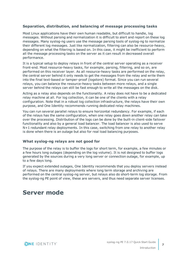#### **Separation, distribution, and balancing of message processing tasks**

Most Linux applications have their own human readable, but difficult to handle, log messages. Without parsing and normalization it is difficult to alert and report on these log messages. Many syslog-ng users use the message parsing tools of syslog-ng to normalize their different log messages. Just like normalization, filtering can also be resource-heavy, depending on what the filtering is based on. In this case, it might be inefficient to perform all the message processing tasks on the server as it can result in decreased overall performance.

It is a typical setup to deploy relays in front of the central server operating as a receiver front-end. Most resource-heavy tasks, for example, parsing, filtering, and so on, are performed on this receiver layer. As all resource-heavy tasks are performed on the relay, the central server behind it only needs to get the messages from the relay and write them into the final text-based or tamper-proof (logstore) format. Since you can run several relays, you can balance the resource-heavy tasks between more relays, and a single server behind the relays can still be fast enough to write all the messages on the disk.

Acting as a relay also depends on the functionality. A relay does not have to be a dedicated relay machine at all. For log collection, it can be one of the clients with a relay configuration. Note that in a robust log collection infrastructure, the relays have their own purpose, and One Identity recommends running dedicated relay machines.

You can run several parallel relays to ensure horizontal redundancy. For example, if each of the relays has the same configuration, when one relay goes down another relay can take over the processing. Distribution of the logs can be done by the built-in client-side failover functionality and also by a general load balancer. The load balancer is also used to serve N+1 redundant relay deployments. In this case, switching from one relay to another relay is done when there is an outage but also for real load balancing purposes.

#### **What syslog-ng relays are not good for**

The purpose of the relay is to buffer the logs for short term, for example, a few minutes or a few hours long outages (depending on the log volume). It is not designed to buffer logs generated by the sources during a very long server or connection outage, for example, up to a few days long.

If you expect extended outages, One Identity recommends that you deploy servers instead of relays. There are many deployments where long term storage and archiving are performed on the central syslog-ng server, but relays also do short-term log storage. From the syslog-ng PE point of view, these are servers, and thus need separate server licenses.

### <span id="page-6-0"></span>**Server mode**

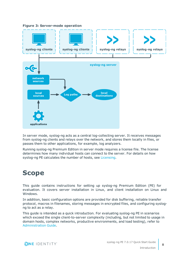**Figure 3: Server-mode operation**



In server mode, syslog-ng acts as a central log-collecting server. It receives messages from syslog-ng clients and relays over the network, and stores them locally in files, or passes them to other applications, for example, log analyzers.

Running syslog-ng Premium Edition in server mode requires a license file. The license determines how many individual hosts can connect to the server. For details on how syslog-ng PE calculates the number of hosts, see Licensing.

### <span id="page-7-0"></span>**Scope**

This guide contains instructions for setting up syslog-ng Premium Edition (PE) for evaluation. It covers server installation in Linux, and client installation on Linux and Windows.

In addition, basic configuration options are provided for disk buffering, reliable transfer protocol, macros in filenames, storing messages in encrypted files, and configuring syslogng to act as a relay.

This guide is intended as a quick introduction. For evaluating syslog-ng PE in scenarios which exceed the single client-to-server complexity (including, but not limited to usage in domain hosts, complex networks, productive environments, and load testing), refer to [Administration](https://support.oneidentity.com/technical-documents/syslog-ng-premium-edition/7.0.17/administration-guide/) Guide.

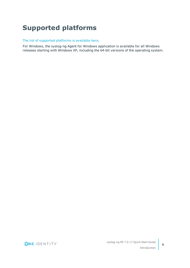## <span id="page-8-0"></span>**Supported platforms**

#### The list of [supported](https://syslog-ng.com/log-management-software/supported-platforms) platforms is available here.

For Windows, the syslog-ng Agent for Windows application is available for all Windows releases starting with Windows XP, including the 64-bit versions of the operating system.

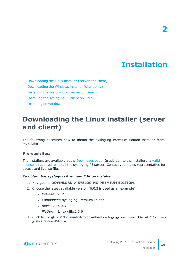## **Installation**

<span id="page-9-0"></span>[Downloading](#page-9-1) the Linux installer (server and client) [Downloading](#page-10-0) the Windows installer (client only) Installing the [syslog-ng](#page-11-0) PE server on Linux Installing the [syslog-ng](#page-12-0) PE client on Linux [Installing](#page-13-0) on Windows

### <span id="page-9-1"></span>**Downloading the Linux installer (server and client)**

The following describes how to obtain the syslog-ng Premium Edition installer from MyBalabit.

#### **Prerequisites:**

The installers are available at the [Downloads](https://support.oneidentity.com/my-downloads) page. In addition to the installers, a [valid](https://my.balabit.com/) [license](https://my.balabit.com/) is required to install the syslog-ng PE server. Contact your sales representative for access and license files.

#### *To obtain the syslog-ng Premium Edition installer*

- 1. Navigate to **DOWNLOAD > SYSLOG-NG PREMIUM EDITION**.
- 2. Choose the latest available version (6.0.3 is used as an example):
	- <sup>l</sup> *Release:* 6 LTS
	- <sup>l</sup> *Component:* syslog-ng Premium Edition
	- <sup>l</sup> *Revision:* 6.0.3
	- <sup>l</sup> *Platform:* Linux glibc2.3.6
- 3. Click **linux glibc2.3.6 amd64** to download syslog-ng-premium-edition-6.0.3-linuxglibc2.3.6-amd64.run.

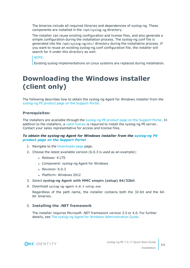The binaries include all required libraries and dependencies of syslog-ng. These components are installed in the /opt/syslog-ng directory.

The installer can reuse existing configuration and license files, and also generate a simple configuration during the installation process. The syslog-ng.conf file is generated into the /opt/syslog-ng/etc/ directory during the installatino process. If you want to reuse an existing syslog-ng.conf configuration file, the installer will search for it under this directory as well.

NOTE:

Existing syslog implementations on Linux systems are replaced during installation.

## <span id="page-10-0"></span>**Downloading the Windows installer (client only)**

The following describes how to obtain the syslog-ng Agent for Windows installer from the [syslog-ng](https://support.oneidentity.com/syslog-ng-premium-edition/) PE product page on the Support Portal.

#### **Prerequisites:**

The installers are available through the [syslog-ng](https://support.oneidentity.com/syslog-ng-premium-edition/) PE product page on the Support Portal. In addition to the installers, a valid [license](https://support.oneidentity.com/my-account/licensing) is required to install the syslog-ng PE server. Contact your sales representative for access and license files.

#### *To obtain the syslog-ng Agent for Windows installer from the [syslog-ng](https://support.oneidentity.com/syslog-ng-premium-edition/) PE product page on the [Support](https://support.oneidentity.com/syslog-ng-premium-edition/) Portal*

- 1. Navigate to the [Downloads](https://support.oneidentity.com/my-downloads) page page.
- 2. Choose the latest available version (6.0.3 is used as an example):
	- <sup>l</sup> *Release:* 6 LTS
	- <sup>l</sup> *Component:* syslog-ng Agent for Windows
	- <sup>l</sup> *Revision:* 6.0.3
	- <sup>l</sup> *Platform:* Windows 2012
- 3. Select **syslog-ng Agent with MMC snapin (setup) 64/32bit**
- 4. Download syslog-ng-agent-6.0.3-setup.exe

Regardless of the path name, the installer contains both the 32-bit and the 64 bit binaries.

#### 5. **Installing the .NET framework**

The installer requires Microsoft .NET framework version 3.5 or 4.0. For further details, see The syslog-ng Agent for Windows [Administration](https://syslog-ng.com/documents/html/syslog-ng-pe-6.0-guides/en/syslog-ng-windows-agent-guide-admin/html/windows-install-standalone.html) Guide.

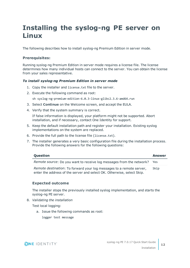## <span id="page-11-0"></span>**Installing the syslog-ng PE server on Linux**

The following describes how to install syslog-ng Premium Edition in server mode.

#### **Prerequisites:**

Running syslog-ng Premium Edition in server mode requires a license file. The license determines how many individual hosts can connect to the server. You can obtain the license from your sales representative.

#### *To install syslog-ng Premium Edition in server mode*

- 1. Copy the installer and license.txt file to the server.
- 2. Execute the following command as root:

sh syslog-ng-premium-edition-6.0.3-linux-glibc2.3.6-amd64.run

- 3. Select **Continue** on the Welcome screen, and accept the EULA.
- 4. Verify that the system summary is correct.

If false information is displayed, your platform might not be supported. Abort installation, and if necessary, contact One Identity for support.

- 5. Keep the default installation path and register your installation. Existing syslog implementations on the system are replaced.
- 6. Provide the full path to the license file (license.txt).
- 7. The installer generates a very basic configuration file during the installation process. Provide the following answers for the following questions:

| Question                                                                                                                                       | <b>Answer</b> |
|------------------------------------------------------------------------------------------------------------------------------------------------|---------------|
| Remote source: Do you want to receive log messages from the network?                                                                           | Yes           |
| Remote destination: To forward your log messages to a remote server,<br>enter the address of the server and select OK. Otherwise, select Skip. | Skip          |

#### **Expected outcome**

The installer stops the previously installed syslog implementation, and starts the syslog-ng PE server.

8. *Validating the installation*

Test local logging:

a. Issue the following commands as root:

logger test message



Installation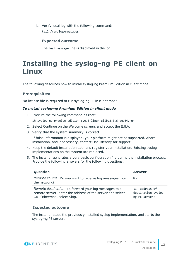b. Verify local log with the following command: tail /var/log/messages

#### **Expected outcome**

The test message line is displayed in the log.

### <span id="page-12-0"></span>**Installing the syslog-ng PE client on Linux**

The following describes how to install syslog-ng Premium Edition in client mode.

#### **Prerequisites:**

No license file is required to run syslog-ng PE in client mode.

#### *To install syslog-ng Premium Edition in client mode*

- 1. Execute the following command as root:
	- sh syslog-ng-premium-edition-6.0.3-linux-glibc2.3.6-amd64.run
- 2. Select Continue on the Welcome screen, and accept the EULA.
- 3. Verify that the system summary is correct.

If false information is displayed, your platform might not be supported. Abort installation, and if necessary, contact One Identity for support.

- 4. Keep the default installation path and register your installation. Existing syslog implementations on the system are replaced.
- 5. The installer generates a very basic configuration file during the installation process. Provide the following answers for the following questions:

| Question                                                                                                                                          | Answer                                                                                |
|---------------------------------------------------------------------------------------------------------------------------------------------------|---------------------------------------------------------------------------------------|
| <i>Remote source:</i> Do you want to receive log messages from<br>the network?                                                                    | No                                                                                    |
| Remote destination: To forward your log messages to a<br>remote server, enter the address of the server and select<br>OK. Otherwise, select Skip. | $\langle TP\text{-}address\text{-}of\text{-}$<br>destination-syslog-<br>ng PE-server> |

#### **Expected outcome**

The installer stops the previously installed syslog implementation, and starts the syslog-ng PE server.

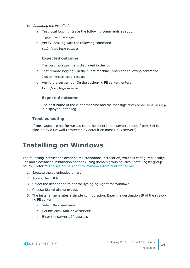- 6. *Validating the installation*
	- a. Test local logging. Issue the following commands as root: logger test message
	- b. Verify local log with the following command: tail /var/log/messages

#### **Expected outcome**

The test message line is displayed in the log.

- c. Test remote logging. On the client machine, enter the following command: logger remote test message
- d. Verify the server log. On the syslog-ng PE server, enter:

tail /var/log/messages

#### **Expected outcome**

The host name of the client machine and the message text remote test message is displayed in the log.

#### **Troubleshooting**

If messages are not forwarded from the client to the server, check if port 514 is blocked by a firewall (protected by default on most Linux servers).

### <span id="page-13-0"></span>**Installing on Windows**

The following instructions describe the standalone installation, which is configured locally. For more advanced installation options (using domain group policies, installing by group policy), refer to The syslog-ng Agent for Windows [Administrator](https://syslog-ng.com/documents/html/syslog-ng-pe-6.0-guides/en/syslog-ng-windows-agent-guide-admin/html/index.html) Guide.

- 1. Execute the downloaded binary.
- 2. Accept the EULA.
- 3. Select the destination folder for syslog-ng Agent for Windows.
- 4. Choose **Stand alone mode**.
- 5. The installer generates a simple configuration. Enter the destination IP of the syslogng PE server:
	- a. Select **Destinations**
	- b. Double-click **Add new server**
	- c. Enter the server's IP address

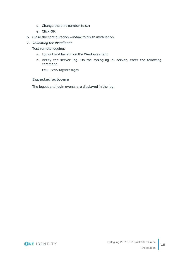- d. Change the port number to 601
- e. Click **OK**
- 6. Close the configuration window to finish installation.
- 7. *Validating the installation*

Test remote logging:

- a. Log out and back in on the Windows client
- b. Verify the server log. On the syslog-ng PE server, enter the following command:

tail /var/log/messages

#### **Expected outcome**

The logout and login events are displayed in the log.

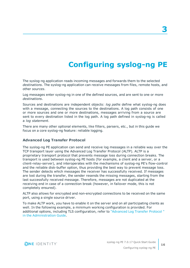# **Configuring syslog-ng PE**

<span id="page-15-0"></span>The syslog-ng application reads incoming messages and forwards them to the selected *destinations*. The syslog-ng application can receive messages from files, remote hosts, and other *sources*.

Log messages enter syslog-ng in one of the defined sources, and are sent to one or more *destinations*.

Sources and destinations are independent objects: *log paths* define what syslog-ng does with a message, connecting the sources to the destinations. A log path consists of one or more sources and one or more destinations, messages arriving from a source are sent to every destination listed in the log path. A log path defined in syslog-ng is called a *log statement*.

There are many other optional elements, like filters, parsers, etc., but in this guide we focus on a core syslog-ng feature: reliable logging.

#### **Advanced Log Transfer Protocol**

The syslog-ng PE application can send and receive log messages in a reliable way over the TCP transport layer using the Advanced Log Transfer Protocol (ALTP). ALTP is a proprietary transport protocol that prevents message loss during connection breaks. The transport is used between syslog-ng PE hosts (for example, a client and a server, or a client-relay-server), and interoperates with the mechanisms of syslog-ng PE's flow-control and the reliable disk-buffer option, thus providing the best way to prevent message loss. The sender detects which messages the receiver has successfully received. If messages are lost during the transfer, the sender resends the missing messages, starting from the last successfully received message. Therefore, messages are not duplicated at the receiving end in case of a connection break (however, in failover mode, this is not completely ensured).

ALTP also allows for encrypted and non-encrypted connections to be received on the same port, using a single source driver.

To make ALTP work, you have to enable it on the server and on all participating clients as well. In the following example, a minimum working configuration is provided. For additional options, including TLS configuration, refer to ["Advanced](https://support.oneidentity.com/technical-documents/syslog-ng-premium-edition/7.0.17/administration-guide/) Log Transfer Protocol " in the [Administration](https://support.oneidentity.com/technical-documents/syslog-ng-premium-edition/7.0.17/administration-guide/) Guide.

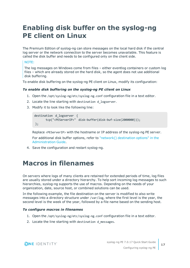### <span id="page-16-0"></span>**Enabling disk buffer on the syslog-ng PE client on Linux**

The Premium Edition of syslog-ng can store messages on the local hard disk if the central log server or the network connection to the server becomes unavailable. This feature is called the disk buffer and needs to be configured only on the client side.

#### NOTE:

The log messages on Windows come from files – either eventlog containers or custom log files – which are already stored on the hard disk, so the agent does not use additional disk buffering.

To enable disk buffering on the syslog-ng PE client on Linux, modify its configuration:

#### *To enable disk buffering on the syslog-ng PE client on Linux*

- 1. Open the /opt/syslog-ng/etc/syslog-ng.conf configuration file in a text editor.
- 2. Locate the line starting with destination d logserver.
- 3. Modify it to look like the following line:

```
destination d logserver {
      tcp("<PEServerIP>" disk-buffer(disk-buf-size(2000000)));
};
```
Replace <PEServerIP> with the hostname or IP address of the syslog-ng PE server.

For additional disk buffer options, refer to "network() [destination](https://support.oneidentity.com/technical-documents/syslog-ng-premium-edition/7.0.17/administration-guide/sending-and-storing-log-messages-�-destinations-and-destination-drivers/network-sending-messages-to-a-remote-log-server-using-the-rfc3164-protocol-network-driver/network-destination-options/) options" in the [Administration](https://support.oneidentity.com/technical-documents/syslog-ng-premium-edition/7.0.17/administration-guide/sending-and-storing-log-messages-�-destinations-and-destination-drivers/network-sending-messages-to-a-remote-log-server-using-the-rfc3164-protocol-network-driver/network-destination-options/) Guide.

<span id="page-16-1"></span>4. Save the configuration and restart syslog-ng.

### **Macros in filenames**

On servers where logs of many clients are retained for extended periods of time, log files are usually stored under a directory hierarchy. To help sort incoming log messages to such hierarchies, syslog-ng supports the use of macros. Depending on the needs of your organization, date, source host, or combined solutions can be used.

In the following example, the file destination on the server is modified to also write messages into a directory structure under /var/log, where the first level is the year, the second level is the week of the year, followed by a file name based on the sending host.

#### *To configure macros in filenames*

- 1. Open the /opt/syslog-ng/etc/syslog-ng.conf configuration file in a text editor.
- 2. Locate the line starting with destination d messages.

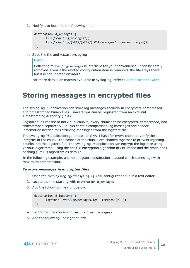3. Modify it to look like the following line:

```
destination d_messages {
      file("/var/log/messages");
      file("/var/log/$YEAR/$WEEK/$HOST-messages" create-dirs(yes));
};
```
4. Save the file and restart syslog-ng

#### NOTE:

Collecting to /var/log/messages is left there for your convenience, it can be safely removed. Even if the related configuration item is removed, the file stays there, but it is not updated anymore.

For more details on macros available in syslog-ng, refer to [Administration](https://support.oneidentity.com/technical-documents/syslog-ng-premium-edition/7.0.17/administration-guide/) Guide.

## <span id="page-17-0"></span>**Storing messages in encrypted files**

The syslog-ng PE application can store log messages securely in encrypted, compressed and timestamped binary files. Timestamps can be requested from an external Timestamping Authority (TSA).

Logstore files consist of individual chunks, every chunk can be encrypted, compressed, and timestamped separately. Chunks contain compressed log messages and header information needed for retrieving messages from the logstore file.

The syslog-ng PE application generates an SHA-1 hash for every chunk to verify the integrity of the chunk. The hashes of the chunks are chained together to prevent injecting chunks into the logstore file. The syslog-ng PE application can encrypt the logstore using various algorithms, using the aes128 encryption algorithm in CBC mode and the hmac-sha1 hashing (HMAC) algorithm as default.

In the following example, a simple logstore destination is added which stores logs with maximum compression.

#### *To store messages in encrypted files*

- 1. Open the /opt/syslog-ng/etc/syslog-ng.conf configuration file in a text editor
- 2. Locate the line starting with destination d messages
- 3. Add the following line right below:

```
destination d_logstore {
      logstore("/var/log/messages.lgs" compress(9) );
};
```
- 4. Locate the line containing destination(d messages)
- 5. Add the following line right below:

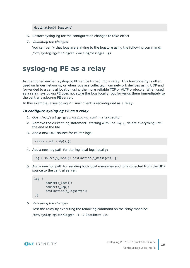#### destination(d\_logstore)

- 6. Restart syslog-ng for the configuration changes to take effect
- 7. *Validating the changes*
	- You can verify that logs are arriving to the logstore using the following command:

/opt/syslog-ng/bin/logcat /var/log/messages.lgs

### <span id="page-18-0"></span>**syslog-ng PE as a relay**

As mentioned earlier, syslog-ng PE can be turned into a relay. This functionality is often used on larger networks, or when logs are collected from network devices using UDP and forwarded to a central location using the more reliable TCP or ALTP protocols. When used as a relay, syslog-ng PE does not store the logs locally, but forwards them immediately to the central syslog-ng PE server.

In this example, a syslog-ng PE Linux client is reconfigured as a relay.

#### *To configure syslog-ng PE as a relay*

- 1. Open /opt/syslog-ng/etc/syslog-ng.conf in a text editor
- 2. Remove the current log statement: starting with line  $\log \frac{1}{2}$ , delete everything until the end of the file
- 3. Add a new UDP source for router logs:

source s\_udp {udp();};

4. Add a new log path for storing local logs locally:

```
log { source(s_local); destination(d_messages); };
```
5. Add a new log path for sending both local messages and logs collected from the UDP source to the central server:

```
log {
       source(s local);
       source(s_udp);
       destination(d logserver);
};
```
6. *Validating the changes*

Test the relay by executing the following command on the relay machine:

/opt/syslog-ng/bin/loggen -i -D localhost 514

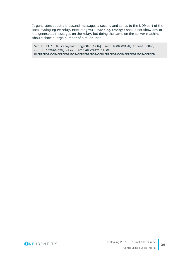It generates about a thousand messages a second and sends to the UDP port of the local syslog-ng PE relay. Executing tail /var/log/messages should not show any of the generated messages on the relay, but doing the same on the server machine should show a large number of similar lines:

Sep 20 21:18:09 relayhost prg00000[1234]: seq: 0000009458, thread: 0000, runid: 1379704679, stamp: 2013-09-20T21:18:09 PADDPADDPADDPADDPADDPADDPADDPADDPADDPADDPADDPADDPADDPADDPADDPADDPADDPADD

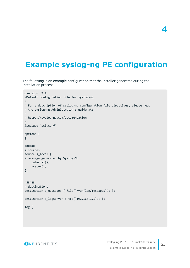## <span id="page-20-0"></span>**Example syslog-ng PE configuration**

The following is an example configuration that the installer generates during the installation process:

```
@version: 7.0
#Default configuration file for syslog-ng.
#
# For a description of syslog-ng configuration file directives, please read
# the syslog-ng Administrator's guide at:
#
# https://syslog-ng.com/documentation
#
@include "scl.conf"
options {
};
######
# sources
source s_local {
# message generated by Syslog-NG
   internal();
   system();
};
######
# destinations
destination d_messages { file("/var/log/messages"); };
destination d_logserver { tcp("192.168.1.1"); };
log {
```


**4**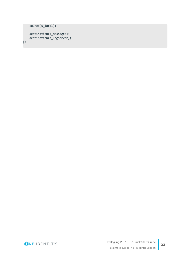```
source(s_local);
   destination(d_messages);
   destination(d_logserver);
};
```